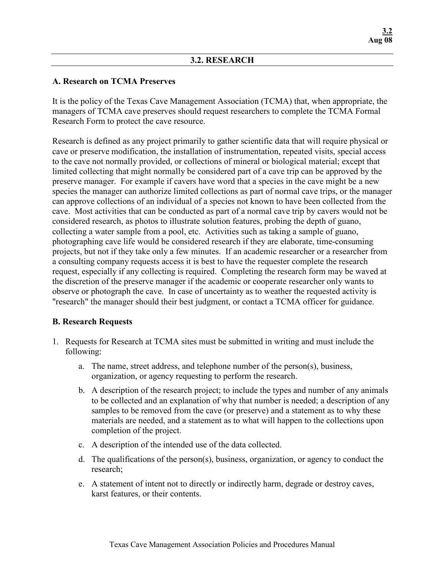## **3.2. RESEARCH**

## **A. Research on TCMA Preserves**

It is the policy of the Texas Cave Management Association (TCMA) that, when appropriate, the managers of TCMA cave preserves should request researchers to complete the TCMA Formal Research Form to protect the cave resource.

Research is defined as any project primarily to gather scientific data that will require physical or cave or preserve modification, the installation of instrumentation, repeated visits, special access to the cave not normally provided, or collections of mineral or biological material; except that limited collecting that might normally be considered part of a cave trip can be approved by the preserve manager. For example if cavers have word that a species in the cave might be a new species the manager can authorize limited collections as part of normal cave trips, or the manager can approve collections of an individual of a species not known to have been collected from the cave. Most activities that can be conducted as part of a normal cave trip by cavers would not be considered research, as photos to illustrate solution features, probing the depth of guano, collecting a water sample from a pool, etc. Activities such as taking a sample of guano, photographing cave life would be considered research if they are elaborate, time-consuming projects, but not if they take only a few minutes. If an academic researcher or a researcher from a consulting company requests access it is best to have the requester complete the research request, especially if any collecting is required. Completing the research form may be waved at the discretion of the preserve manager if the academic or cooperate researcher only wants to observe or photograph the cave. In case of uncertainty as to weather the requested activity is "research" the manager should their best judgment, or contact a TCMA officer for guidance.

## **B. Research Requests**

- 1. Requests for Research at TCMA sites must be submitted in writing and must include the following:
	- a. The name, street address, and telephone number of the person(s), business, organization, or agency requesting to perform the research.
	- b. A description of the research project; to include the types and number of any animals to be collected and an explanation of why that number is needed; a description of any samples to be removed from the cave (or preserve) and a statement as to why these materials are needed, and a statement as to what will happen to the collections upon completion of the project.
	- c. A description of the intended use of the data collected.
	- d. The qualifications of the person(s), business, organization, or agency to conduct the research;
	- e. A statement of intent not to directly or indirectly harm, degrade or destroy caves, karst features, or their contents.